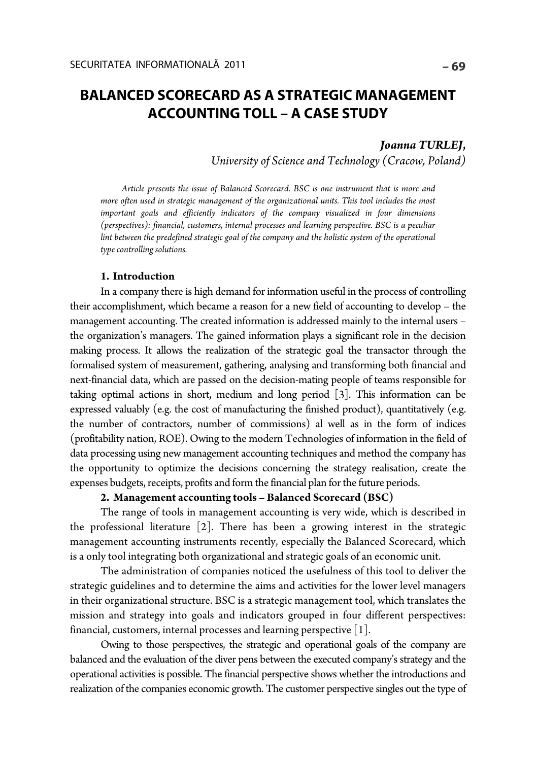# **BALANCED SCORECARD AS A STRATEGIC MANAGEMENT ACCOUNTING TOLL – A CASE STUDY**

### *Joanna TURLEJ***,**  *University of Science and Technology (Cracow, Poland)*

*Article presents the issue of Balanced Scorecard. BSC is one instrument that is more and more often used in strategic management of the organizational units. This tool includes the most important goals and efficiently indicators of the company visualized in four dimensions (perspectives): financial, customers, internal processes and learning perspective. BSC is a peculiar lint between the predefined strategic goal of the company and the holistic system of the operational type controlling solutions.* 

#### **1. Introduction**

In a company there is high demand for information useful in the process of controlling their accomplishment, which became a reason for a new field of accounting to develop – the management accounting. The created information is addressed mainly to the internal users – the organization's managers. The gained information plays a significant role in the decision making process. It allows the realization of the strategic goal the transactor through the formalised system of measurement, gathering, analysing and transforming both financial and next-financial data, which are passed on the decision-mating people of teams responsible for taking optimal actions in short, medium and long period [3]. This information can be expressed valuably (e.g. the cost of manufacturing the finished product), quantitatively (e.g. the number of contractors, number of commissions) al well as in the form of indices (profitability nation, ROE). Owing to the modern Technologies of information in the field of data processing using new management accounting techniques and method the company has the opportunity to optimize the decisions concerning the strategy realisation, create the expenses budgets, receipts, profits and form the financial plan for the future periods.

#### **2. Management accounting tools – Balanced Scorecard (BSC)**

The range of tools in management accounting is very wide, which is described in the professional literature [2]. There has been a growing interest in the strategic management accounting instruments recently, especially the Balanced Scorecard, which is a only tool integrating both organizational and strategic goals of an economic unit.

The administration of companies noticed the usefulness of this tool to deliver the strategic guidelines and to determine the aims and activities for the lower level managers in their organizational structure. BSC is a strategic management tool, which translates the mission and strategy into goals and indicators grouped in four different perspectives: financial, customers, internal processes and learning perspective [1].

Owing to those perspectives, the strategic and operational goals of the company are balanced and the evaluation of the diver pens between the executed company's strategy and the operational activities is possible. The financial perspective shows whether the introductions and realization of the companies economic growth. The customer perspective singles out the type of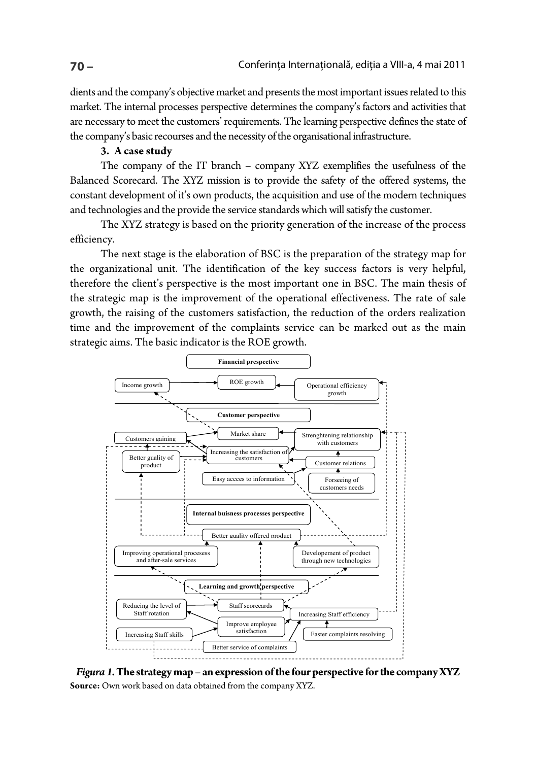dients and the company's objective market and presents the most important issues related to this market. The internal processes perspective determines the company's factors and activities that are necessary to meet the customers' requirements. The learning perspective defines the state of the company's basic recourses and the necessity of the organisational infrastructure.

#### **3. A case study**

The company of the IT branch – company XYZ exemplifies the usefulness of the Balanced Scorecard. The XYZ mission is to provide the safety of the offered systems, the constant development of it's own products, the acquisition and use of the modern techniques and technologies and the provide the service standards which will satisfy the customer.

The XYZ strategy is based on the priority generation of the increase of the process efficiency.

The next stage is the elaboration of BSC is the preparation of the strategy map for the organizational unit. The identification of the key success factors is very helpful, therefore the client's perspective is the most important one in BSC. The main thesis of the strategic map is the improvement of the operational effectiveness. The rate of sale growth, the raising of the customers satisfaction, the reduction of the orders realization time and the improvement of the complaints service can be marked out as the main strategic aims. The basic indicator is the ROE growth.



*Figura 1.* **The strategy map – an expression of the four perspective for the company XYZ Source:** Own work based on data obtained from the company XYZ.